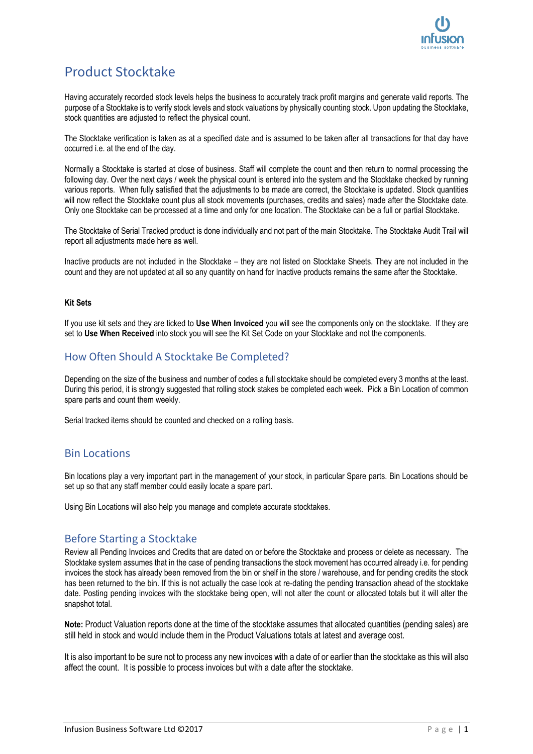# Product Stocktake

Having accurately recorded stock levels helps the business to accurately track profit margins and generate valid reports. The purpose of a Stocktake is to verify stock levels and stock valuations by physically counting stock. Upon updating the Stocktake, stock quantities are adjusted to reflect the physical count.

The Stocktake verification is taken as at a specified date and is assumed to be taken after all transactions for that day have occurred i.e. at the end of the day.

Normally a Stocktake is started at close of business. Staff will complete the count and then return to normal processing the following day. Over the next days / week the physical count is entered into the system and the Stocktake checked by running various reports. When fully satisfied that the adjustments to be made are correct, the Stocktake is updated. Stock quantities will now reflect the Stocktake count plus all stock movements (purchases, credits and sales) made after the Stocktake date. Only one Stocktake can be processed at a time and only for one location. The Stocktake can be a full or partial Stocktake.

The Stocktake of Serial Tracked product is done individually and not part of the main Stocktake. The Stocktake Audit Trail will report all adjustments made here as well.

Inactive products are not included in the Stocktake – they are not listed on Stocktake Sheets. They are not included in the count and they are not updated at all so any quantity on hand for Inactive products remains the same after the Stocktake.

#### **Kit Sets**

If you use kit sets and they are ticked to **Use When Invoiced** you will see the components only on the stocktake. If they are set to **Use When Received** into stock you will see the Kit Set Code on your Stocktake and not the components.

## How Often Should A Stocktake Be Completed?

Depending on the size of the business and number of codes a full stocktake should be completed every 3 months at the least. During this period, it is strongly suggested that rolling stock stakes be completed each week. Pick a Bin Location of common spare parts and count them weekly.

Serial tracked items should be counted and checked on a rolling basis.

### Bin Locations

Bin locations play a very important part in the management of your stock, in particular Spare parts. Bin Locations should be set up so that any staff member could easily locate a spare part.

Using Bin Locations will also help you manage and complete accurate stocktakes.

### Before Starting a Stocktake

Review all Pending Invoices and Credits that are dated on or before the Stocktake and process or delete as necessary. The Stocktake system assumes that in the case of pending transactions the stock movement has occurred already i.e. for pending invoices the stock has already been removed from the bin or shelf in the store / warehouse, and for pending credits the stock has been returned to the bin. If this is not actually the case look at re-dating the pending transaction ahead of the stocktake date. Posting pending invoices with the stocktake being open, will not alter the count or allocated totals but it will alter the snapshot total.

**Note:** Product Valuation reports done at the time of the stocktake assumes that allocated quantities (pending sales) are still held in stock and would include them in the Product Valuations totals at latest and average cost.

It is also important to be sure not to process any new invoices with a date of or earlier than the stocktake as this will also affect the count. It is possible to process invoices but with a date after the stocktake.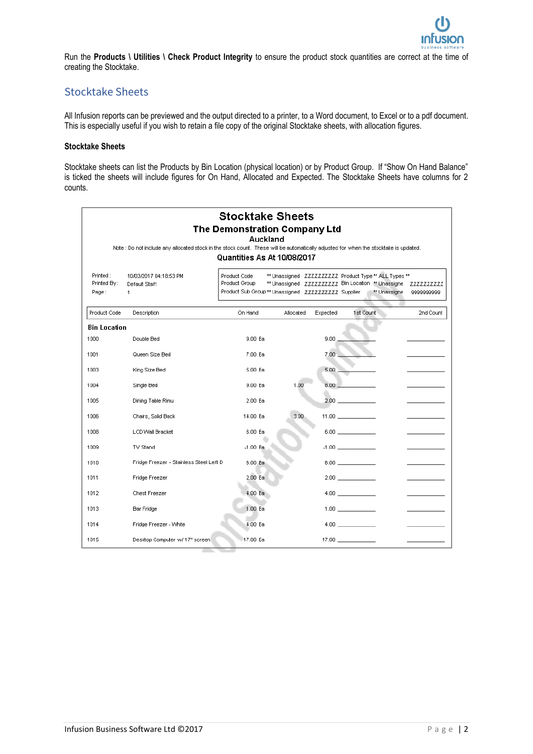

Run the **Products \ Utilities \ Check Product Integrity** to ensure the product stock quantities are correct at the time of creating the Stocktake.

## Stocktake Sheets

All Infusion reports can be previewed and the output directed to a printer, to a Word document, to Excel or to a pdf document. This is especially useful if you wish to retain a file copy of the original Stocktake sheets, with allocation figures.

#### **Stocktake Sheets**

Stocktake sheets can list the Products by Bin Location (physical location) or by Product Group. If "Show On Hand Balance" is ticked the sheets will include figures for On Hand, Allocated and Expected. The Stocktake Sheets have columns for 2 counts.

|                                  | Note : Do not include any allocated stock in the stock count. These will be automatically adjusted for when the stocktake is updated. | <b>Stocktake Sheets</b><br>The Demonstration Company Ltd                            | Auckland                                                                                                    |          |                                               |              |                          |
|----------------------------------|---------------------------------------------------------------------------------------------------------------------------------------|-------------------------------------------------------------------------------------|-------------------------------------------------------------------------------------------------------------|----------|-----------------------------------------------|--------------|--------------------------|
|                                  |                                                                                                                                       | Quantities As At 10/08/2017                                                         |                                                                                                             |          |                                               |              |                          |
| Printed:<br>Printed By:<br>Page: | 10/03/2017 04:18:53 PM<br>Default Staff<br>1                                                                                          | Product Code<br>Product Group<br>Product Sub Group ** Unassigned ZZZZZZZZZ Supplier | ** Unassigned ZZZZZZZZZZ Product Type ** ALL Types **<br>** Unassigned ZZZZZZZZZZ Bin Location ** Unassigne |          |                                               | ** Unassigne | ZZZZZZZZZZ<br>9999999999 |
| Product Code                     | <b>Description</b>                                                                                                                    | On Hand                                                                             | Allocated                                                                                                   | Expected | 1st Count                                     |              | 2nd Count                |
| <b>Bin Location</b>              |                                                                                                                                       |                                                                                     |                                                                                                             |          |                                               |              |                          |
| 1000                             | Double Bed                                                                                                                            | 9.00 Ea                                                                             |                                                                                                             | 9.00.    |                                               |              |                          |
| 1001                             | Queen Size Bed                                                                                                                        | 7.00 Ea                                                                             |                                                                                                             | 7.00.    |                                               |              |                          |
| 1003                             | King Size Bed                                                                                                                         | 5.00 Ea                                                                             |                                                                                                             | 5.00     |                                               |              |                          |
| 1004                             | Single Bed                                                                                                                            | 9.00 Ea                                                                             | 1.00                                                                                                        | 8.00.    |                                               |              |                          |
| 1005                             | Dining Table Rimu                                                                                                                     | 2.00 Ea                                                                             |                                                                                                             |          | $2.00$ and $\sim$ $\sim$ $\sim$ $\sim$ $\sim$ |              |                          |
| 1006                             | Chairs, Solid Back                                                                                                                    | 14.00 Ea                                                                            | 3.00                                                                                                        |          | 11.00 $\qquad \qquad$                         |              |                          |
| 1008                             | <b>LCD Wall Bracket</b>                                                                                                               | 6.00 Ea                                                                             |                                                                                                             |          | $6.00$ and $100$                              |              |                          |
| 1009                             | TV Stand                                                                                                                              | $-1.00$ Ea                                                                          |                                                                                                             |          | $-1.00$ and $-1.00$                           |              |                          |
| 1010                             | Fridge Freezer - Stainless Steel Left D                                                                                               | 6.00 Ea                                                                             |                                                                                                             |          | $6.00$ $\qquad$                               |              |                          |
| 1011                             | Fridge Freezer                                                                                                                        | 2.00 Ea                                                                             |                                                                                                             |          | 2.00                                          |              |                          |
| 1012                             | Chest Freezer                                                                                                                         | 4.00 Ea                                                                             |                                                                                                             |          | 4.00                                          |              |                          |
| 1013                             | <b>Bar Fridge</b>                                                                                                                     | 1.00 Ea                                                                             |                                                                                                             |          | $1.00$ and $1.00$                             |              |                          |
| 1014                             | Fridge Freezer - White                                                                                                                | 4.00 Ea                                                                             |                                                                                                             |          | 4.00                                          |              |                          |
| 1015                             | Desktop Computer w/ 17" screen                                                                                                        | 17.00 Ea                                                                            |                                                                                                             |          | 17.00                                         |              |                          |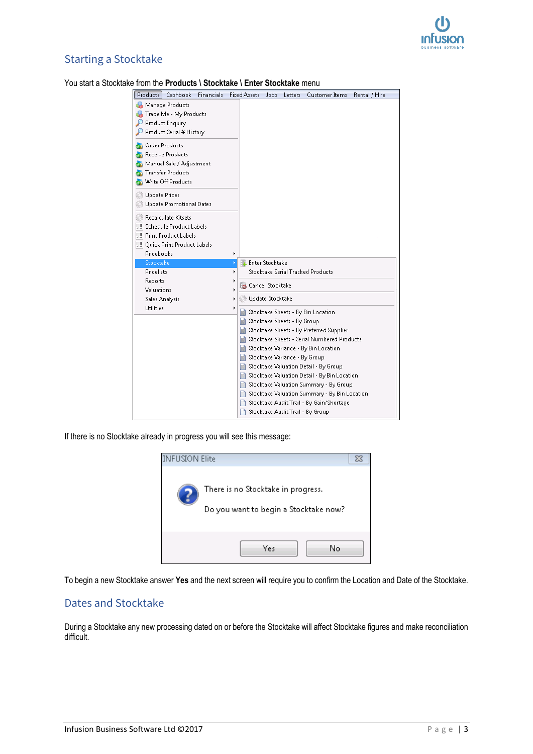

## Starting a Stocktake

### You start a Stocktake from the **Products \ Stocktake \ Enter Stocktake** menu

| <b>Financials</b><br>Products<br>Cashbook | Fixed Assets                  | Jobs                   | Letters | Customer Items                                | Rental / Hire |
|-------------------------------------------|-------------------------------|------------------------|---------|-----------------------------------------------|---------------|
| Manage Products                           |                               |                        |         |                                               |               |
| Trade Me - My Products                    |                               |                        |         |                                               |               |
| Product Enquiry                           |                               |                        |         |                                               |               |
| Product Serial # History                  |                               |                        |         |                                               |               |
| <b>Order Products</b>                     |                               |                        |         |                                               |               |
| Receive Products                          |                               |                        |         |                                               |               |
| Manual Sale / Adjustment                  |                               |                        |         |                                               |               |
| <b>Transfer Products</b>                  |                               |                        |         |                                               |               |
| Write Off Products                        |                               |                        |         |                                               |               |
|                                           |                               |                        |         |                                               |               |
| Update Prices                             |                               |                        |         |                                               |               |
| Update Promotional Dates                  |                               |                        |         |                                               |               |
| Recalculate Kitsets                       |                               |                        |         |                                               |               |
| WILL Schedule Product Labels              |                               |                        |         |                                               |               |
| WILL Print Product Labels                 |                               |                        |         |                                               |               |
| !!!!! Ouick Print Product Labels          |                               |                        |         |                                               |               |
| Pricebooks                                |                               |                        |         |                                               |               |
| Stocktake                                 |                               | <b>Enter Stocktake</b> |         |                                               |               |
| Pricelists                                |                               |                        |         | Stocktake Serial Tracked Products             |               |
| Reports                                   | Cancel Stocktake              |                        |         |                                               |               |
| Valuations                                |                               |                        |         |                                               |               |
| Sales Analysis                            | Update Stocktake              |                        |         |                                               |               |
| <b>Utilities</b>                          | Ħ                             |                        |         | Stocktake Sheets - By Bin Location            |               |
|                                           | Stocktake Sheets - By Group   |                        |         |                                               |               |
|                                           |                               |                        |         | Stocktake Sheets - By Preferred Supplier      |               |
|                                           |                               |                        |         | Stocktake Sheets - Serial Numbered Products   |               |
|                                           |                               |                        |         | Stocktake Variance - By Bin Location          |               |
|                                           | Stocktake Variance - By Group |                        |         |                                               |               |
|                                           |                               |                        |         | Stocktake Valuation Detail - By Group         |               |
|                                           |                               |                        |         | Stocktake Valuation Detail - By Bin Location  |               |
|                                           |                               |                        |         | Stocktake Valuation Summary - By Group        |               |
|                                           |                               |                        |         | Stocktake Valuation Summary - By Bin Location |               |
|                                           | H                             |                        |         | Stocktake Audit Trail - By Gain/Shortage      |               |
|                                           | Ħ                             |                        |         | Stocktake Audit Trail - By Group              |               |
|                                           |                               |                        |         |                                               |               |

If there is no Stocktake already in progress you will see this message:



To begin a new Stocktake answer **Yes** and the next screen will require you to confirm the Location and Date of the Stocktake.

### Dates and Stocktake

During a Stocktake any new processing dated on or before the Stocktake will affect Stocktake figures and make reconciliation difficult.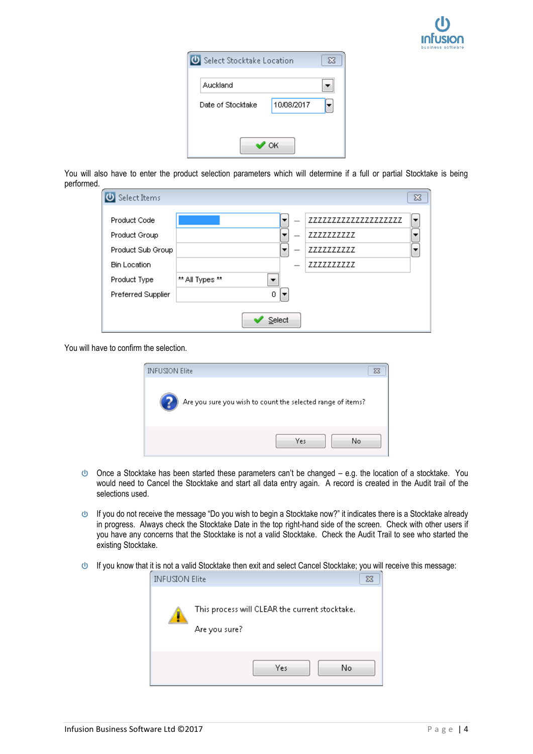| Select Stocktake Location |            | ΣS |
|---------------------------|------------|----|
| Auckland                  |            |    |
| Date of Stocktake         | 10/08/2017 |    |
|                           |            |    |
|                           | ОК         |    |

You will also have to enter the product selection parameters which will determine if a full or partial Stocktake is being performed.

| Select Items                                       |                 |                          |                                                   | 53 |
|----------------------------------------------------|-----------------|--------------------------|---------------------------------------------------|----|
| Product Code<br>Product Group<br>Product Sub Group |                 | $\overline{\phantom{a}}$ | 77777777777777777777<br>ZZZZZZZZZZ<br>ZZZZZZZZZZZ |    |
| <b>Bin Location</b>                                |                 |                          | 7777777777                                        |    |
| Product Type<br>Preferred Supplier                 | ** All Types ** | 0                        |                                                   |    |
|                                                    |                 | Select                   |                                                   |    |

You will have to confirm the selection.

| <b>INFUSION Elite</b> |                                                             |  |
|-----------------------|-------------------------------------------------------------|--|
| B                     | Are you sure you wish to count the selected range of items? |  |
|                       | Yes<br>No                                                   |  |

- $\bullet$  Once a Stocktake has been started these parameters can't be changed e.g. the location of a stocktake. You would need to Cancel the Stocktake and start all data entry again. A record is created in the Audit trail of the selections used.
- $\bigcirc$  If you do not receive the message "Do you wish to begin a Stocktake now?" it indicates there is a Stocktake already in progress. Always check the Stocktake Date in the top right-hand side of the screen. Check with other users if you have any concerns that the Stocktake is not a valid Stocktake. Check the Audit Trail to see who started the existing Stocktake.
- If you know that it is not a valid Stocktake then exit and select Cancel Stocktake; you will receive this message:

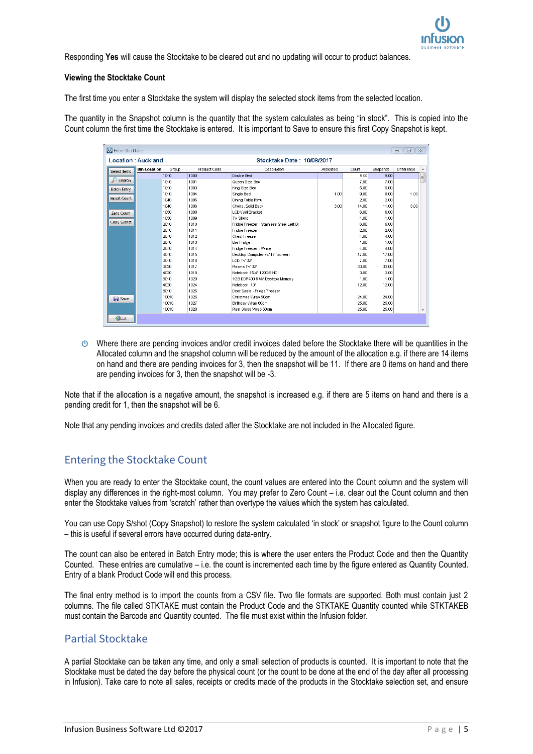

Responding **Yes** will cause the Stocktake to be cleared out and no updating will occur to product balances.

#### **Viewing the Stocktake Count**

The first time you enter a Stocktake the system will display the selected stock items from the selected location.

The quantity in the Snapshot column is the quantity that the system calculates as being "in stock". This is copied into the Count column the first time the Stocktake is entered. It is important to Save to ensure this first Copy Snapshot is kept.

| <b>U</b> Enter Stocktake            |                            |              |                                          |           |         |          | $\Box$<br>$\qquad \qquad \Box$ | $\Sigma$ |
|-------------------------------------|----------------------------|--------------|------------------------------------------|-----------|---------|----------|--------------------------------|----------|
| Location: Auckland                  | Stocktake Date: 10/08/2017 |              |                                          |           |         |          |                                |          |
| <b>Bin Location</b><br>Select Items | Group                      | Product Code | Description                              | Allocated | Count   | Snapshot | Difference                     | ۰        |
|                                     | 1010                       | 1000         | Double Bed                               |           | 9.00    | 9.00     |                                | E        |
| Ω<br>Search                         | 1010                       | 1001         | Queen Size Bed                           |           | 7.00    | 7.00     |                                |          |
| <b>Batch Entry</b>                  | 1010                       | 1003         | King Size Bed                            |           | 5.00    | 5.00     |                                |          |
|                                     | 1010                       | 1004         | Single Bed                               | 1.00      | 9.00    | 8.00     | 1.00                           |          |
| Import Count                        | 1040                       | 1005         | Dining Table Rimu                        |           | 2.00    | 2.00     |                                |          |
|                                     | 1040                       | 1006         | Chairs, Solid Back                       | 3.00      | 14.00   | 11.00    | 3.00                           |          |
| Zero Count                          | 1050                       | 1008         | LCD Wall Bracket                         |           | 6.00    | 6.00     |                                |          |
|                                     | 1050                       | 1009         | TV Stand                                 |           | $-1.00$ | $-1.00$  |                                |          |
| Copy S/shot                         | 2010                       | 1010         | Fridge Freezer - Stainless Steel Left Dr |           | 6.00    | 6.00     |                                |          |
|                                     | 2010                       | 1011         | Fridge Freezer                           |           | 2.00    | 2.00     |                                |          |
|                                     | 2010                       | 1012         | Chest Freezer                            |           | 4.00    | 4.00     |                                |          |
|                                     | 2010                       | 1013         | <b>Bar Fridge</b>                        |           | 1.00    | 1.00     |                                |          |
|                                     | 2010                       | 1014         | Fridge Freezer - White                   |           | 4.00    | 4.00     |                                |          |
|                                     | 4010                       | 1015         | Desktop Computer w/ 17" screen           |           | 17.00   | 17.00    |                                |          |
|                                     | 3010                       | 1016         | LCD TV 32"                               |           | 7.00    | 7.00     |                                |          |
|                                     | 3020                       | 1017         | Plasma TV 32"                            |           | 33.00   | 33.00    |                                |          |
|                                     | 4020                       | 1018         | Notebook 15.4" 120GB HD                  |           | 3.00    | 3.00     |                                |          |
|                                     | 8010                       | 1020         | 1GB DDR400 RAM Desktop Memory            |           | 1.00    | 1.00     |                                |          |
|                                     | 4020                       | 1024         | Notebook 13"                             |           | 12.00   | 12.00    |                                |          |
|                                     | 8010                       | 1025         | Door Seals - Fridge/Freezer              |           |         |          |                                |          |
| $\blacksquare$ Save                 | 10010                      | 1026         | Christmas Wrap 50cm                      |           | 24.00   | 24.00    |                                |          |
|                                     | 10010                      | 1027         | Birthday Wrap 60cm                       |           | 25.00   | 25.00    |                                |          |
|                                     | 10010                      | 1028         | Plain Gloss Wrap 60cm                    |           | 25.00   | 25.00    |                                |          |

Where there are pending invoices and/or credit invoices dated before the Stocktake there will be quantities in the Allocated column and the snapshot column will be reduced by the amount of the allocation e.g. if there are 14 items on hand and there are pending invoices for 3, then the snapshot will be 11. If there are 0 items on hand and there are pending invoices for 3, then the snapshot will be -3.

Note that if the allocation is a negative amount, the snapshot is increased e.g. if there are 5 items on hand and there is a pending credit for 1, then the snapshot will be 6.

Note that any pending invoices and credits dated after the Stocktake are not included in the Allocated figure.

## Entering the Stocktake Count

When you are ready to enter the Stocktake count, the count values are entered into the Count column and the system will display any differences in the right-most column. You may prefer to Zero Count – i.e. clear out the Count column and then enter the Stocktake values from 'scratch' rather than overtype the values which the system has calculated.

You can use Copy S/shot (Copy Snapshot) to restore the system calculated 'in stock' or snapshot figure to the Count column – this is useful if several errors have occurred during data-entry.

The count can also be entered in Batch Entry mode; this is where the user enters the Product Code and then the Quantity Counted. These entries are cumulative – i.e. the count is incremented each time by the figure entered as Quantity Counted. Entry of a blank Product Code will end this process.

The final entry method is to import the counts from a CSV file. Two file formats are supported. Both must contain just 2 columns. The file called STKTAKE must contain the Product Code and the STKTAKE Quantity counted while STKTAKEB must contain the Barcode and Quantity counted. The file must exist within the Infusion folder.

### Partial Stocktake

A partial Stocktake can be taken any time, and only a small selection of products is counted. It is important to note that the Stocktake must be dated the day before the physical count (or the count to be done at the end of the day after all processing in Infusion). Take care to note all sales, receipts or credits made of the products in the Stocktake selection set, and ensure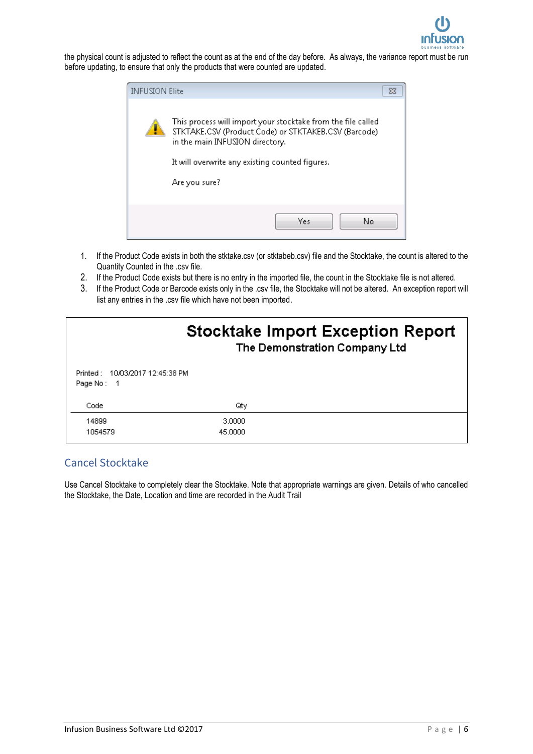

the physical count is adjusted to reflect the count as at the end of the day before. As always, the variance report must be run before updating, to ensure that only the products that were counted are updated.

| <b>INFUSION Elite</b> | ⊠                                                                                                                                                                                                          |
|-----------------------|------------------------------------------------------------------------------------------------------------------------------------------------------------------------------------------------------------|
|                       | This process will import your stocktake from the file called<br>STKTAKE.CSV (Product Code) or STKTAKEB.CSV (Barcode)<br>in the main INFUSION directory.<br>It will overwrite any existing counted fiqures. |
|                       | Are you sure?                                                                                                                                                                                              |
|                       | Yes<br>No                                                                                                                                                                                                  |

- 1. If the Product Code exists in both the stktake.csv (or stktabeb.csv) file and the Stocktake, the count is altered to the Quantity Counted in the .csv file.
- 2. If the Product Code exists but there is no entry in the imported file, the count in the Stocktake file is not altered.
- 3. If the Product Code or Barcode exists only in the .csv file, the Stocktake will not be altered. An exception report will list any entries in the .csv file which have not been imported.

|                                               |                   | <b>Stocktake Import Exception Report</b><br>The Demonstration Company Ltd |
|-----------------------------------------------|-------------------|---------------------------------------------------------------------------|
| Printed: 10/03/2017 12:45:38 PM<br>Page No: 1 |                   |                                                                           |
| Code                                          | Qtγ               |                                                                           |
| 14899<br>1054579                              | 3.0000<br>45,0000 |                                                                           |

## Cancel Stocktake

Use Cancel Stocktake to completely clear the Stocktake. Note that appropriate warnings are given. Details of who cancelled the Stocktake, the Date, Location and time are recorded in the Audit Trail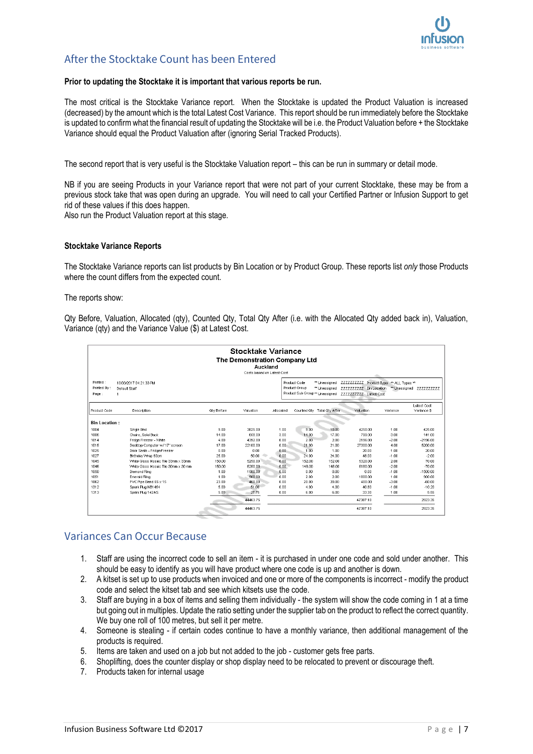

## After the Stocktake Count has been Entered

#### **Prior to updating the Stocktake it is important that various reports be run.**

The most critical is the Stocktake Variance report. When the Stocktake is updated the Product Valuation is increased (decreased) by the amount which is the total Latest Cost Variance. This report should be run immediately before the Stocktake is updated to confirm what the financial result of updating the Stocktake will be i.e. the Product Valuation before + the Stocktake Variance should equal the Product Valuation after (ignoring Serial Tracked Products).

The second report that is very useful is the Stocktake Valuation report – this can be run in summary or detail mode.

NB if you are seeing Products in your Variance report that were not part of your current Stocktake, these may be from a previous stock take that was open during an upgrade. You will need to call your Certified Partner or Infusion Support to get rid of these values if this does happen.

Also run the Product Valuation report at this stage.

#### **Stocktake Variance Reports**

The Stocktake Variance reports can list products by Bin Location or by Product Group. These reports list *only* those Products where the count differs from the expected count.

The reports show:

Qty Before, Valuation, Allocated (qty), Counted Qty, Total Qty After (i.e. with the Allocated Qty added back in), Valuation, Variance (qty) and the Variance Value (\$) at Latest Cost.

|                                  |                                                           |                   | <b>Stocktake Variance</b><br>The Demonstration Company Ltd<br>Auckland<br>Costs based on Latest Cost |           |                                                                  |                                |                                                                                              |          |                            |
|----------------------------------|-----------------------------------------------------------|-------------------|------------------------------------------------------------------------------------------------------|-----------|------------------------------------------------------------------|--------------------------------|----------------------------------------------------------------------------------------------|----------|----------------------------|
| Printed:<br>Printed By:<br>Page: | 10/03/2017 04:21:33 PM<br>Default Staff<br>$\overline{1}$ |                   |                                                                                                      |           | Product Code<br>Product Group<br>Product Sub Group ** Unassigned | ** Unassigned<br>** Unassigned | ZZZZZZZZZZ Product Type ** ALL Types **<br>ZZZZZZZZZZ Bin Location<br>ZZZZZZZZZZ Latest Cost |          | ** Unassigned ZZZZZZZZZZ   |
| Product Code                     | <b>Description</b>                                        | <b>Qtv Before</b> | Valuation                                                                                            | Allocated |                                                                  | Counted Oty Total Oty After    | Valuation                                                                                    | Variance | Latest Cost<br>Variance \$ |
| <b>Bin Location:</b>             |                                                           |                   |                                                                                                      |           |                                                                  |                                |                                                                                              |          |                            |
| 1004                             | Single Bed                                                | 9.00              | 3825.00                                                                                              | 1.00      | 9.00                                                             | 10.00                          | 4250.00                                                                                      | 1.00     | 425.00                     |
| 1006                             | Chairs, Solid Back                                        | 14.00             | 658.00                                                                                               | 3.00      | 14.00                                                            | 17.00                          | 799.00                                                                                       | 3.00     | 141.00                     |
| 1014                             | Fridge Freezer - White                                    | 4.00              | 4392.00                                                                                              | 0.00      | 2.00                                                             | 2.00                           | 2196.00                                                                                      | $-2.00$  | $-2196.00$                 |
| 1015                             | Desktop Computer w/17" screen                             | 17.00             | 22100.00                                                                                             | 0.00      | 21.00                                                            | 21.00                          | 27300.00                                                                                     | 4.00     | 5200.00                    |
| 1025                             | Door Seals - Fridge/Freezer                               | 0.00              | 0.00                                                                                                 | 0.00      | 1.00                                                             | 1.00                           | 20.00                                                                                        | 1.00     | 20.00                      |
| 1027                             | Birthday Wrap 60cm                                        | 25.00             | 50.00                                                                                                | 0.00      | 24.00                                                            | 24.00                          | 48.00                                                                                        | $-1.00$  | $-2.00$                    |
| 1045                             | White Gloss Mosaic Tile 33mm x 33mm                       | 150.00            | 5250.00                                                                                              | 0.00      | 152.00                                                           | 152.00                         | 5320.00                                                                                      | 2.00     | 70.00                      |
| 1046                             | White Gloss Mosaic Tile 30nm x 30 mm                      | 150.00            | 5250.00                                                                                              | 0.00      | 148.00                                                           | 148.00                         | 5180.00                                                                                      | $-2.00$  | $-70.00$                   |
| 1050                             | <b>Diamond Ring</b>                                       | 1.00              | 1500.00                                                                                              | 0.00      | 0.00                                                             | 0.00                           | 0.00                                                                                         | $-1.00$  | $-1500.00$                 |
| 1051                             | Emerald Ring                                              | 1.00              | 900.00                                                                                               | in nn     | 2.00                                                             | 2.00                           | 1800.00                                                                                      | 1.00     | 900.00                     |
| 1062                             | PVC Pipe Bend 65 x 15                                     | 23.00             | 460.00                                                                                               | 0.00      | 20.00                                                            | 20.00                          | 400.00                                                                                       | $-3.00$  | $-60.00$                   |
| 1312                             | Spark Plug NB1454                                         | 5.00              | 51.00                                                                                                | 0.00      | 4.00                                                             | 4.00                           | 40.80                                                                                        | $-1.00$  | $-10.20$                   |
| 1313                             | Spark Plug 142AS                                          | 5.00              | 27.75                                                                                                | 0.00      | 6.00                                                             | 6.00                           | 33.30                                                                                        | 1.00     | 5.55                       |
|                                  |                                                           |                   | 44463.75                                                                                             |           |                                                                  |                                | 47387.10                                                                                     |          | 2923.35                    |
|                                  |                                                           |                   | 44463.75                                                                                             |           |                                                                  |                                | 47387.10                                                                                     |          | 2923.35                    |

### Variances Can Occur Because

- 1. Staff are using the incorrect code to sell an item it is purchased in under one code and sold under another. This should be easy to identify as you will have product where one code is up and another is down.
- 2. A kitset is set up to use products when invoiced and one or more of the components is incorrect modify the product code and select the kitset tab and see which kitsets use the code.
- 3. Staff are buying in a box of items and selling them individually the system will show the code coming in 1 at a time but going out in multiples. Update the ratio setting under the supplier tab on the product to reflect the correct quantity. We buy one roll of 100 metres, but sell it per metre.
- 4. Someone is stealing if certain codes continue to have a monthly variance, then additional management of the products is required.
- 5. Items are taken and used on a job but not added to the job customer gets free parts.
- 6. Shoplifting, does the counter display or shop display need to be relocated to prevent or discourage theft.
- 7. Products taken for internal usage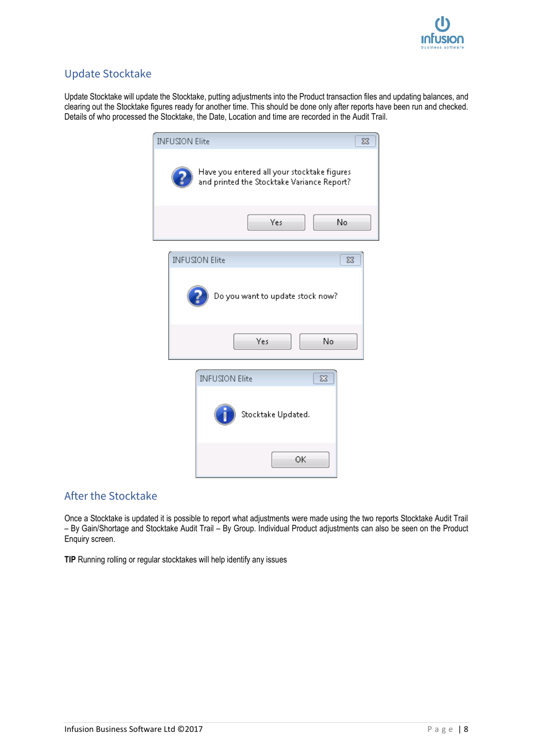

## Update Stocktake

Update Stocktake will update the Stocktake, putting adjustments into the Product transaction files and updating balances, and clearing out the Stocktake figures ready for another time. This should be done only after reports have been run and checked. Details of who processed the Stocktake, the Date, Location and time are recorded in the Audit Trail.

| <b>INFUSION Elite</b>                                                                     | $\Sigma$ |
|-------------------------------------------------------------------------------------------|----------|
| Have you entered all your stocktake figures<br>and printed the Stocktake Variance Report? |          |
| Yes<br>No                                                                                 |          |
| <b>INFUSION Elite</b><br>$\Sigma$ 3<br>Do you want to update stock now?                   |          |
| No<br>Yes                                                                                 |          |
| <b>INFUSION Elite</b><br>$\Sigma$<br>Stocktake Updated.                                   |          |
| OK                                                                                        |          |

## After the Stocktake

Once a Stocktake is updated it is possible to report what adjustments were made using the two reports Stocktake Audit Trail – By Gain/Shortage and Stocktake Audit Trail – By Group. Individual Product adjustments can also be seen on the Product Enquiry screen.

**TIP** Running rolling or regular stocktakes will help identify any issues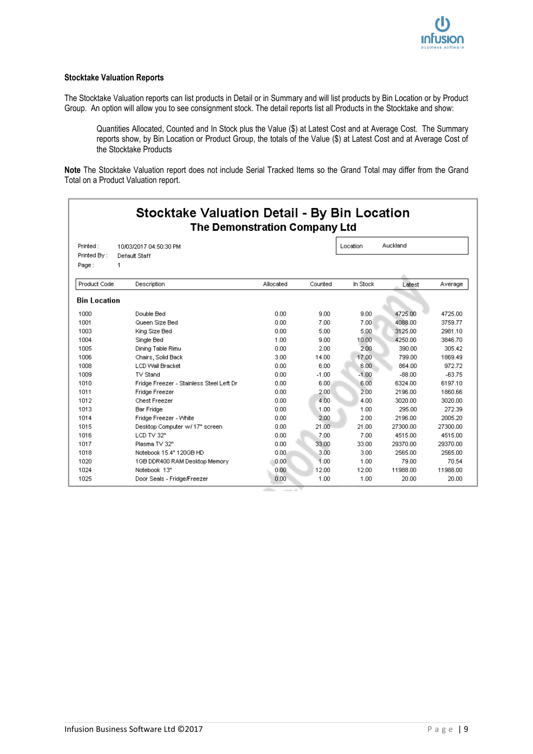#### **Stocktake Valuation Reports**

The Stocktake Valuation reports can list products in Detail or in Summary and will list products by Bin Location or by Product Group. An option will allow you to see consignment stock. The detail reports list all Products in the Stocktake and show:

Quantities Allocated, Counted and In Stock plus the Value (\$) at Latest Cost and at Average Cost. The Summary reports show, by Bin Location or Product Group, the totals of the Value (\$) at Latest Cost and at Average Cost of the Stocktake Products

**Note** The Stocktake Valuation report does not include Serial Tracked Items so the Grand Total may differ from the Grand Total on a Product Valuation report.

|                     | <b>Stocktake Valuation Detail - By Bin Location</b><br>The Demonstration Company Ltd |           |         |          |          |          |
|---------------------|--------------------------------------------------------------------------------------|-----------|---------|----------|----------|----------|
| Printed:            | 10/03/2017 04:50:30 PM                                                               |           |         | Location | Auckland |          |
| Printed By:         | Default Staff                                                                        |           |         |          |          |          |
| Page:               | 1                                                                                    |           |         |          |          |          |
|                     |                                                                                      |           |         |          |          |          |
| Product Code        | Description                                                                          | Allocated | Counted | In Stock | Latest   | Average  |
| <b>Bin Location</b> |                                                                                      |           |         |          |          |          |
| 1000                | Double Bed                                                                           | 0.00      | 9.00    | 9.00     | 4725.00  | 4725.00  |
| 1001                | Queen Size Bed                                                                       | 0.00      | 7.00    | 7.00     | 4088.00  | 3759.77  |
| 1003                | King Size Bed                                                                        | 0.00      | 5.00    | 5.00.    | 3125.00  | 2981.10  |
| 1004                | Single Bed                                                                           | 1.00      | 9.00    | 10.00    | 4250.00  | 3846.70  |
| 1005                | Dining Table Rimu                                                                    | 0.00      | 2.00    | 2.00     | 390.00   | 305.42   |
| 1006                | Chairs, Solid Back                                                                   | 3.00      | 14.00   | 17.00    | 799.00   | 1869.49  |
| 1008                | <b>LCD Wall Bracket</b>                                                              | 0.00      | 6.00    | 6.00     | 864.00   | 972.72   |
| 1009                | TV Stand                                                                             | 0.00      | $-1.00$ | $-1.00$  | $-88.00$ | $-63.75$ |
| 1010                | Fridge Freezer - Stainless Steel Left Dr                                             | 0.00      | 6.00    | 6.00     | 6324.00  | 6197.10  |
| 1011                | Fridge Freezer                                                                       | 0.00      | 2.00    | 2.00     | 2196.00  | 1860.66  |
| 1012                | <b>Chest Freezer</b>                                                                 | 0.00      | 4.00    | 4.00     | 3020.00  | 3020.00  |
| 1013                | <b>Bar Fridge</b>                                                                    | 0.00      | 1.00    | 1.00     | 295.00   | 272.39   |
| 1014                | Fridge Freezer - White                                                               | 0.00      | 2.00    | 2.00     | 2196.00  | 2005.20  |
| 1015                | Desktop Computer w/17" screen                                                        | 0.00      | 21.00   | 21.00    | 27300.00 | 27300.00 |
| 1016                | LCD TV 32"                                                                           | 0.00      | 7.00    | 7.00     | 4515.00  | 4515.00  |
| 1017                | Plasma TV 32"                                                                        | 0.00      | 33.00   | 33.00    | 29370.00 | 29370.00 |
| 1018                | Notebook 15.4" 120GB HD                                                              | 0.00.     | 3.00    | 3.00     | 2565.00  | 2565.00  |
| 1020                | 1GB DDR400 RAM Desktop Memory                                                        | 0.00      | 1.00    | 1.00     | 79.00    | 70.54    |
| 1024                | Notebook 13"                                                                         | 0.00      | 12.00   | 12.00    | 11988.00 | 11988.00 |
| 1025                | Door Seals - Fridge/Freezer                                                          | 0.00      | 1.00    | 1.00     | 20.00    | 20.00    |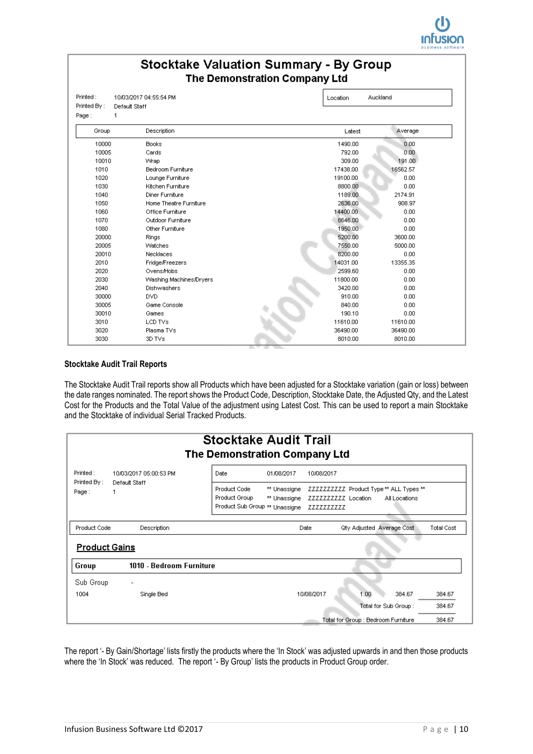

## **Stocktake Valuation Summary - By Group** The Demonstration Company Ltd

| Printed By: | Default Staff            |          |          |
|-------------|--------------------------|----------|----------|
| Page:<br>1  |                          |          |          |
| Group       | Description              | Latest   | Average  |
| 10000       | <b>Books</b>             | 1490.00  | 0.00     |
| 10005       | Cards                    | 792.00   | 0.00.    |
| 10010       | Wrap                     | 309.00   | 191.00   |
| 1010        | <b>Bedroom Furniture</b> | 17438.00 | 16562.57 |
| 1020        | Lounge Furniture         | 19100.00 | 0.00     |
| 1030        | Kitchen Furniture        | 8800.00  | 0.00     |
| 1040        | Diner Furniture          | 1189.00  | 2174.91  |
| 1050        | Home Theatre Furniture   | 2636.00  | 908.97   |
| 1060        | Office Furniture         | 14400.00 | 0.00     |
| 1070        | Outdoor Furniture        | 8646.00  | 0.00     |
| 1080        | Other Furniture          | 1950.00  | 0.00     |
| 20000       | Rings                    | 5200.00  | 3600.00  |
| 20005       | Watches                  | 7550.00  | 5000.00  |
| 20010       | Necklaces                | 8200.00  | 0.00     |
| 2010        | <b>Fridge/Freezers</b>   | 14031.00 | 13355.35 |
| 2020        | Ovens/Hobs               | 2599.60  | 0.00     |
| 2030        | Washing Machines/Dryers  | 11800.00 | 0.00     |
| 2040        | Dishwashers              | 3420.00  | 0.00     |
| 30000       | DVD.                     | 910.00   | 0.00.    |
| 30005       | Game Console             | 840.00   | 0.00     |
| 30010       | Games                    | 190.10   | 0.00     |
| 3010        | LCD TVs                  | 11610.00 | 11610.00 |
| 3020        | Plasma TVs               | 36490.00 | 36490.00 |
| 3030        | 3D TVs                   | 8010.00  | 8010.00  |

#### **Stocktake Audit Trail Reports**

The Stocktake Audit Trail reports show all Products which have been adjusted for a Stocktake variation (gain or loss) between the date ranges nominated. The report shows the Product Code, Description, Stocktake Date, the Adjusted Qty, and the Latest Cost for the Products and the Total Value of the adjustment using Latest Cost. This can be used to report a main Stocktake and the Stocktake of individual Serial Tracked Products.

| <b>Stocktake Audit Trail</b><br>The Demonstration Company Ltd |                                              |                                                                 |                              |                                   |      |                                                          |            |  |  |
|---------------------------------------------------------------|----------------------------------------------|-----------------------------------------------------------------|------------------------------|-----------------------------------|------|----------------------------------------------------------|------------|--|--|
| Printed:                                                      | 10/03/2017 05:00:53 PM<br>Default Staff<br>1 | Date<br>01/08/2017                                              |                              | 10/08/2017                        |      |                                                          |            |  |  |
| Printed By:<br>Page:                                          |                                              | Product Code<br>Product Group<br>Product Sub Group ** Unassigne | ** Unassigne<br>** Unassigne | ZZZZZZZZZZ Location<br>ZZZZZZZZZZ |      | ZZZZZZZZZZ Product Type ** ALL Types **<br>All Locations |            |  |  |
| Product Code                                                  | Description                                  |                                                                 |                              | Date                              |      | <b>Gty Adjusted Average Cost</b>                         | Total Cost |  |  |
| <b>Product Gains</b>                                          |                                              |                                                                 |                              |                                   |      |                                                          |            |  |  |
| Group                                                         | 1010 - Bedroom Furniture                     |                                                                 |                              |                                   |      |                                                          |            |  |  |
| Sub Group                                                     |                                              |                                                                 |                              |                                   |      |                                                          |            |  |  |
| 1004                                                          | Single Bed                                   |                                                                 |                              | 10/08/2017                        | 1.00 | 384.67                                                   | 384.67     |  |  |
|                                                               |                                              |                                                                 |                              |                                   |      | Total for Sub Group:                                     | 384.67     |  |  |
|                                                               |                                              |                                                                 |                              |                                   |      | Total for Group : Bedroom Furniture                      | 384.67     |  |  |

The report '- By Gain/Shortage' lists firstly the products where the 'In Stock' was adjusted upwards in and then those products where the 'In Stock' was reduced. The report '- By Group' lists the products in Product Group order.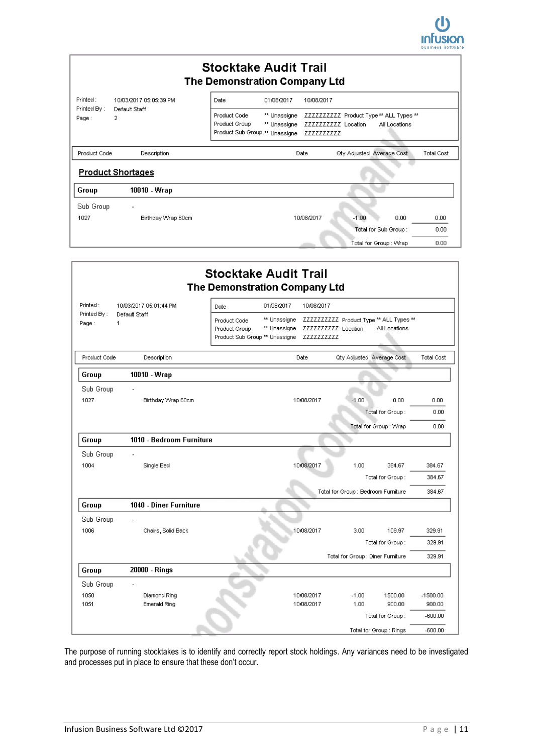

| <b>Stocktake Audit Trail</b><br>The Demonstration Company Ltd |                          |                                                                 |                                                                                 |            |                                  |                   |  |  |  |
|---------------------------------------------------------------|--------------------------|-----------------------------------------------------------------|---------------------------------------------------------------------------------|------------|----------------------------------|-------------------|--|--|--|
| Printed :                                                     | 10/03/2017 05:05:39 PM   | Date                                                            | 01/08/2017                                                                      | 10/08/2017 |                                  |                   |  |  |  |
| Printed By:<br>Page:                                          | Default Staff<br>2       | Product Code<br>Product Group<br>Product Sub Group ** Unassigne | ZZZZZZZZZZ Product Type ** ALL Types **<br>ZZZZZZZZZZ Location<br>All Locations |            |                                  |                   |  |  |  |
| Product Code                                                  | Description              |                                                                 |                                                                                 | Date       | <b>Gty Adjusted Average Cost</b> | <b>Total Cost</b> |  |  |  |
|                                                               | <b>Product Shortages</b> |                                                                 |                                                                                 |            |                                  |                   |  |  |  |
| Group                                                         | 10010 - Wrap             |                                                                 |                                                                                 |            |                                  |                   |  |  |  |
| Sub Group                                                     |                          |                                                                 |                                                                                 |            |                                  |                   |  |  |  |
| 1027                                                          | Birthday Wrap 60cm       |                                                                 |                                                                                 | 10/08/2017 | $-1.00$<br>0.00                  | 0.00              |  |  |  |
|                                                               |                          |                                                                 |                                                                                 |            | Total for Sub Group:             | 0.00              |  |  |  |
|                                                               |                          |                                                                 |                                                                                 |            | Total for Group : Wrap           | 0.00              |  |  |  |
|                                                               |                          |                                                                 |                                                                                 |            |                                  |                   |  |  |  |

|                                                                                  |                          | <b>Stocktake Audit Trail</b><br>The Demonstration Company Ltd                                                                                                                              |            |            |                                     |                         |                   |
|----------------------------------------------------------------------------------|--------------------------|--------------------------------------------------------------------------------------------------------------------------------------------------------------------------------------------|------------|------------|-------------------------------------|-------------------------|-------------------|
| Printed:<br>10/03/2017 05:01:44 PM<br>Printed By:<br>Default Staff<br>Page:<br>1 |                          | Date                                                                                                                                                                                       | 01/08/2017 | 10/08/2017 |                                     |                         |                   |
|                                                                                  |                          | ** Unassigne ZZZZZZZZZZ Product Type ** ALL Types **<br>Product Code<br>** Unassigne<br>ZZZZZZZZZZ Location<br>All Locations<br>Product Group<br>Product Sub Group ** Unassigne ZZZZZZZZZZ |            |            |                                     |                         |                   |
| Product Code                                                                     | Description              |                                                                                                                                                                                            |            | Date       | <b>City Adjusted Average Cost</b>   |                         | <b>Total Cost</b> |
| Group                                                                            | 10010 - Wrap             |                                                                                                                                                                                            |            |            |                                     |                         |                   |
| Sub Group                                                                        |                          |                                                                                                                                                                                            |            |            |                                     |                         |                   |
| 1027                                                                             | Birthday Wrap 60cm       |                                                                                                                                                                                            |            | 10/08/2017 | $-1.00$                             | 0.00                    | 0.00              |
|                                                                                  |                          |                                                                                                                                                                                            |            |            |                                     | Total for Group:        |                   |
|                                                                                  |                          |                                                                                                                                                                                            |            |            |                                     | Total for Group : Wrap  | 0.00              |
| Group                                                                            | 1010 - Bedroom Furniture |                                                                                                                                                                                            |            |            |                                     |                         |                   |
| Sub Group                                                                        |                          |                                                                                                                                                                                            |            |            |                                     |                         |                   |
| 1004                                                                             | Single Bed               |                                                                                                                                                                                            |            | 10/08/2017 | 1.00                                | 384.67                  | 384.67            |
|                                                                                  |                          |                                                                                                                                                                                            |            |            |                                     | Total for Group:        | 384.67            |
|                                                                                  |                          |                                                                                                                                                                                            |            |            | Total for Group : Bedroom Furniture |                         | 384.67            |
| Group                                                                            | 1040 - Diner Furniture   |                                                                                                                                                                                            |            |            |                                     |                         |                   |
| Sub Group                                                                        |                          |                                                                                                                                                                                            |            |            |                                     |                         |                   |
| 1006                                                                             | Chairs, Solid Back       |                                                                                                                                                                                            |            | 10/08/2017 | 3.00.                               | 109.97                  | 329.91            |
|                                                                                  |                          |                                                                                                                                                                                            |            |            |                                     | Total for Group:        | 329.91            |
|                                                                                  |                          |                                                                                                                                                                                            |            |            | Total for Group : Diner Furniture   |                         | 329.91            |
| Group                                                                            | 20000 - Rings            |                                                                                                                                                                                            |            |            |                                     |                         |                   |
| Sub Group                                                                        |                          |                                                                                                                                                                                            |            |            |                                     |                         |                   |
| 1050                                                                             | Diamond Ring             |                                                                                                                                                                                            |            | 10/08/2017 | $-1.00$                             | 1500.00                 | $-1500.00$        |
| 1051                                                                             | <b>Emerald Ring</b>      |                                                                                                                                                                                            |            | 10/08/2017 | 1.00                                | 900.00                  | 900.00            |
|                                                                                  |                          |                                                                                                                                                                                            |            |            |                                     | Total for Group:        | $-600.00$         |
|                                                                                  |                          |                                                                                                                                                                                            |            |            |                                     | Total for Group : Rings | $-600.00$         |

The purpose of running stocktakes is to identify and correctly report stock holdings. Any variances need to be investigated and processes put in place to ensure that these don't occur.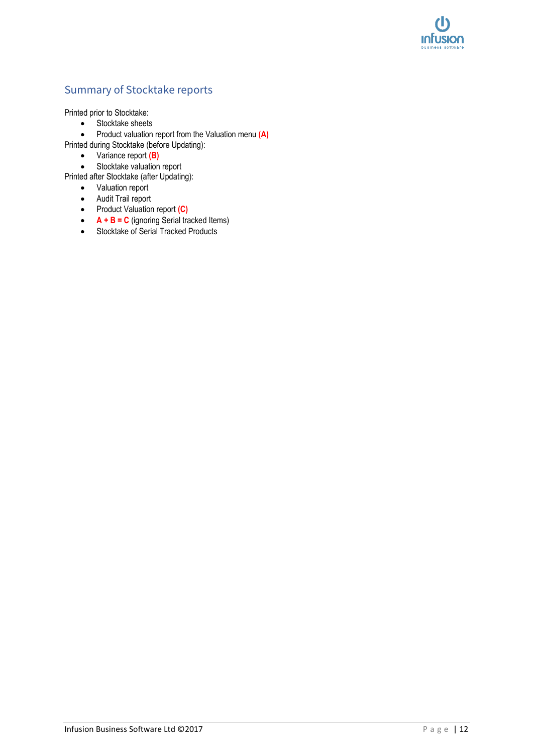

## Summary of Stocktake reports

Printed prior to Stocktake:

- Stocktake sheets
- Product valuation report from the Valuation menu **(A)**

Printed during Stocktake (before Updating):

- Variance report **(B)**
- Stocktake valuation report

Printed after Stocktake (after Updating):

- Valuation report
- Audit Trail report
- Product Valuation report **(C)**
- **A + B = C** (ignoring Serial tracked Items)
- Stocktake of Serial Tracked Products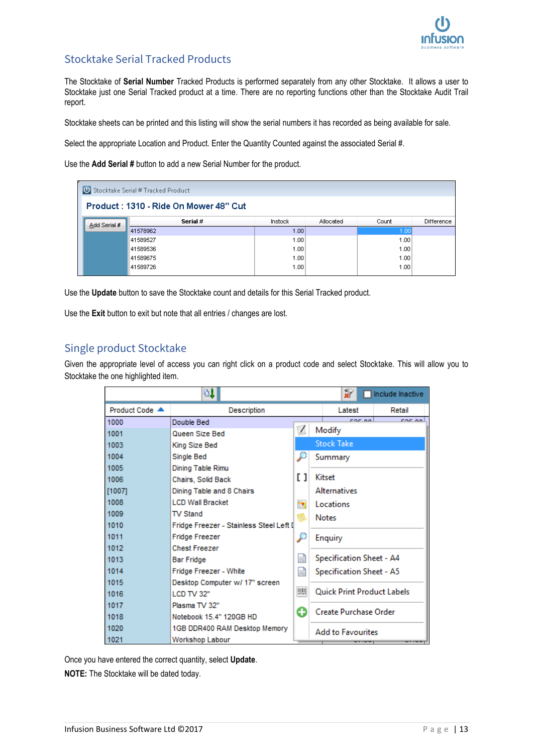

## Stocktake Serial Tracked Products

The Stocktake of **Serial Number** Tracked Products is performed separately from any other Stocktake. It allows a user to Stocktake just one Serial Tracked product at a time. There are no reporting functions other than the Stocktake Audit Trail report.

Stocktake sheets can be printed and this listing will show the serial numbers it has recorded as being available for sale.

Select the appropriate Location and Product. Enter the Quantity Counted against the associated Serial #.

Use the **Add Serial #** button to add a new Serial Number for the product.

|              | U Stocktake Serial # Tracked Product  |         |           |       |            |
|--------------|---------------------------------------|---------|-----------|-------|------------|
|              | Product: 1310 - Ride On Mower 48" Cut |         |           |       |            |
| Add Serial # | Serial #                              | Instock | Allocated | Count | Difference |
|              | 41578962                              | 1.00    |           | 1.00  |            |
|              | 41589527                              | 1.00    |           | 1.00  |            |
|              | 41589536                              | 1.00    |           | 1.00  |            |
|              | 41589675                              | 1.00    |           | 1.00  |            |
|              | 41589726                              | 1.00    |           | 1.00  |            |

Use the **Update** button to save the Stocktake count and details for this Serial Tracked product.

Use the **Exit** button to exit but note that all entries / changes are lost.

### Single product Stocktake

Given the appropriate level of access you can right click on a product code and select Stocktake. This will allow you to Stocktake the one highlighted item.

|                | 91                                       |            |                                   | жŕ                       | Include Inactive |  |  |
|----------------|------------------------------------------|------------|-----------------------------------|--------------------------|------------------|--|--|
| Product Code ▲ | Description                              |            |                                   | Latest                   | Retail           |  |  |
| 1000           | Double Bed                               |            |                                   | coc on                   | ror on           |  |  |
| 1001           | Queen Size Bed                           | $\sqrt{2}$ |                                   | Modify                   |                  |  |  |
| 1003           | King Size Bed                            |            | <b>Stock Take</b>                 |                          |                  |  |  |
| 1004           | Single Bed                               |            |                                   | Summary                  |                  |  |  |
| 1005           | Dining Table Rimu                        |            |                                   |                          |                  |  |  |
| 1006           | Chairs, Solid Back                       | II.        | Kitset                            |                          |                  |  |  |
| $[1007]$       | Dining Table and 8 Chairs                |            |                                   | <b>Alternatives</b>      |                  |  |  |
| 1008           | <b>LCD Wall Bracket</b>                  | ×          | Locations                         |                          |                  |  |  |
| 1009           | <b>TV Stand</b>                          | B          | <b>Notes</b>                      |                          |                  |  |  |
| 1010           | Fridge Freezer - Stainless Steel Left II |            |                                   |                          |                  |  |  |
| 1011           | <b>Fridge Freezer</b>                    |            | Enquiry                           |                          |                  |  |  |
| 1012           | <b>Chest Freezer</b>                     |            |                                   |                          |                  |  |  |
| 1013           | <b>Bar Fridge</b>                        |            | 国<br>Specification Sheet - A4     |                          |                  |  |  |
| 1014           | Fridge Freezer - White                   |            |                                   | Specification Sheet - A5 |                  |  |  |
| 1015           | Desktop Computer w/ 17" screen           |            |                                   |                          |                  |  |  |
| 1016           | LCD TV 32"                               | <b>THE</b> | <b>Ouick Print Product Labels</b> |                          |                  |  |  |
| 1017           | Plasma TV 32"                            | O          |                                   | Create Purchase Order    |                  |  |  |
| 1018           | Notebook 15.4" 120GB HD                  |            |                                   |                          |                  |  |  |
| 1020           | 1GB DDR400 RAM Desktop Memory            |            |                                   | <b>Add to Favourites</b> |                  |  |  |
| 1021           | Workshop Labour                          |            |                                   |                          |                  |  |  |

Once you have entered the correct quantity, select **Update**.

**NOTE:** The Stocktake will be dated today.